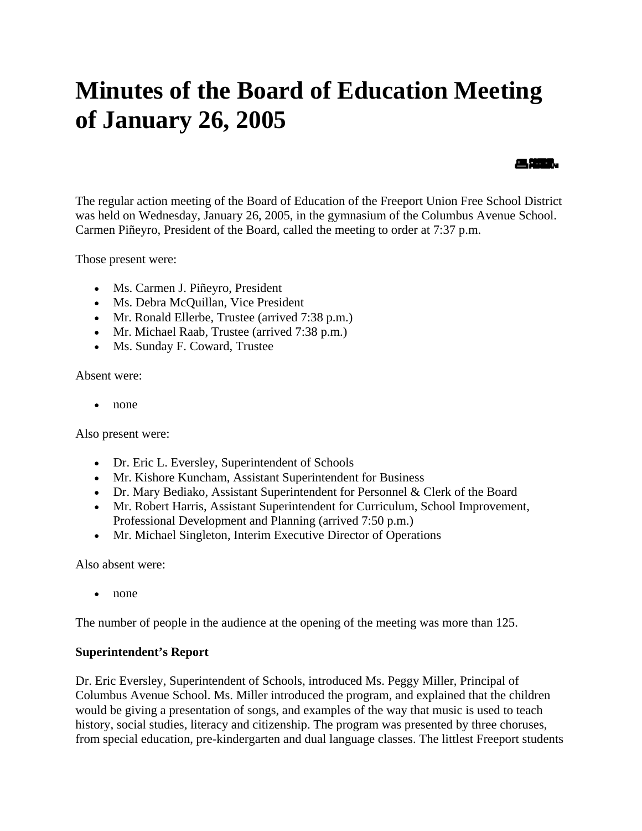# **Minutes of the Board of Education Meeting of January 26, 2005**

#### 《無望》

The regular action meeting of the Board of Education of the Freeport Union Free School District was held on Wednesday, January 26, 2005, in the gymnasium of the Columbus Avenue School. Carmen Piñeyro, President of the Board, called the meeting to order at 7:37 p.m.

Those present were:

- Ms. Carmen J. Piñeyro, President
- Ms. Debra McQuillan, Vice President
- Mr. Ronald Ellerbe, Trustee (arrived 7:38 p.m.)
- Mr. Michael Raab, Trustee (arrived 7:38 p.m.)
- Ms. Sunday F. Coward, Trustee

Absent were:

• none

Also present were:

- Dr. Eric L. Eversley, Superintendent of Schools
- Mr. Kishore Kuncham, Assistant Superintendent for Business
- Dr. Mary Bediako, Assistant Superintendent for Personnel & Clerk of the Board
- Mr. Robert Harris, Assistant Superintendent for Curriculum, School Improvement, Professional Development and Planning (arrived 7:50 p.m.)
- Mr. Michael Singleton, Interim Executive Director of Operations

Also absent were:

• none

The number of people in the audience at the opening of the meeting was more than 125.

#### **Superintendent's Report**

Dr. Eric Eversley, Superintendent of Schools, introduced Ms. Peggy Miller, Principal of Columbus Avenue School. Ms. Miller introduced the program, and explained that the children would be giving a presentation of songs, and examples of the way that music is used to teach history, social studies, literacy and citizenship. The program was presented by three choruses, from special education, pre-kindergarten and dual language classes. The littlest Freeport students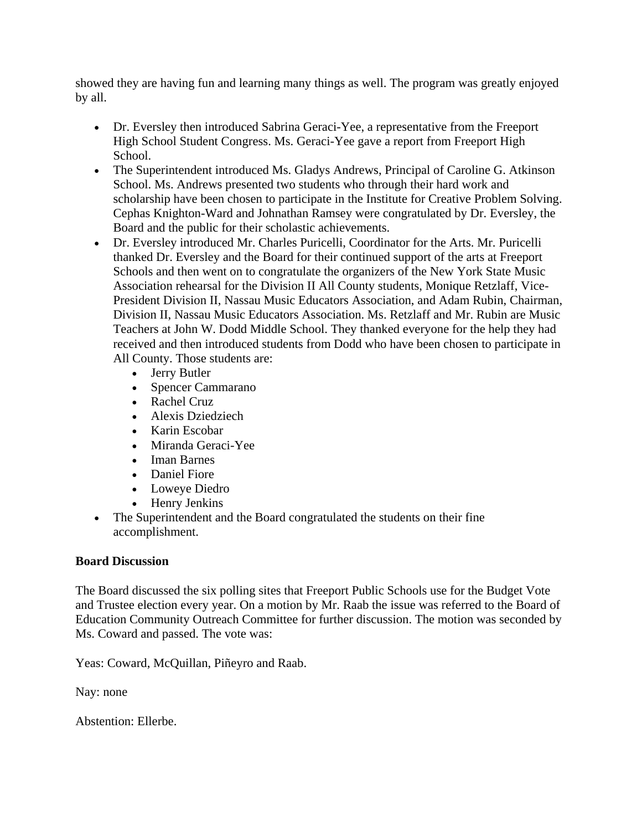showed they are having fun and learning many things as well. The program was greatly enjoyed by all.

- Dr. Eversley then introduced Sabrina Geraci-Yee, a representative from the Freeport High School Student Congress. Ms. Geraci-Yee gave a report from Freeport High School.
- The Superintendent introduced Ms. Gladys Andrews, Principal of Caroline G. Atkinson School. Ms. Andrews presented two students who through their hard work and scholarship have been chosen to participate in the Institute for Creative Problem Solving. Cephas Knighton-Ward and Johnathan Ramsey were congratulated by Dr. Eversley, the Board and the public for their scholastic achievements.
- Dr. Eversley introduced Mr. Charles Puricelli, Coordinator for the Arts. Mr. Puricelli thanked Dr. Eversley and the Board for their continued support of the arts at Freeport Schools and then went on to congratulate the organizers of the New York State Music Association rehearsal for the Division II All County students, Monique Retzlaff, Vice-President Division II, Nassau Music Educators Association, and Adam Rubin, Chairman, Division II, Nassau Music Educators Association. Ms. Retzlaff and Mr. Rubin are Music Teachers at John W. Dodd Middle School. They thanked everyone for the help they had received and then introduced students from Dodd who have been chosen to participate in All County. Those students are:
	- Jerry Butler
	- Spencer Cammarano
	- Rachel Cruz
	- Alexis Dziedziech
	- Karin Escobar
	- Miranda Geraci-Yee
	- Iman Barnes
	- Daniel Fiore
	- Loweye Diedro
	- Henry Jenkins
- The Superintendent and the Board congratulated the students on their fine accomplishment.

## **Board Discussion**

The Board discussed the six polling sites that Freeport Public Schools use for the Budget Vote and Trustee election every year. On a motion by Mr. Raab the issue was referred to the Board of Education Community Outreach Committee for further discussion. The motion was seconded by Ms. Coward and passed. The vote was:

Yeas: Coward, McQuillan, Piñeyro and Raab.

Nay: none

Abstention: Ellerbe.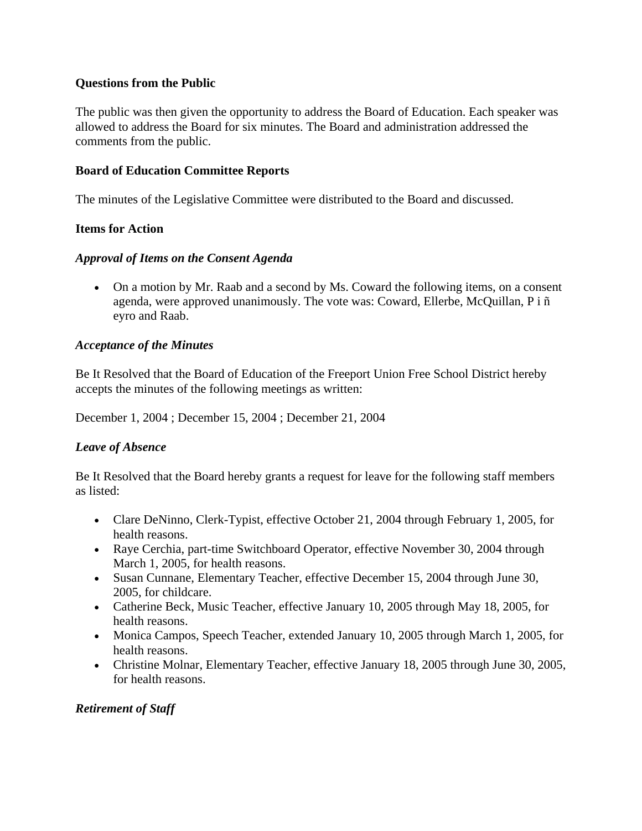#### **Questions from the Public**

The public was then given the opportunity to address the Board of Education. Each speaker was allowed to address the Board for six minutes. The Board and administration addressed the comments from the public.

#### **Board of Education Committee Reports**

The minutes of the Legislative Committee were distributed to the Board and discussed.

#### **Items for Action**

#### *Approval of Items on the Consent Agenda*

• On a motion by Mr. Raab and a second by Ms. Coward the following items, on a consent agenda, were approved unanimously. The vote was: Coward, Ellerbe, McQuillan, P i ñ eyro and Raab.

#### *Acceptance of the Minutes*

Be It Resolved that the Board of Education of the Freeport Union Free School District hereby accepts the minutes of the following meetings as written:

December 1, 2004 ; December 15, 2004 ; December 21, 2004

#### *Leave of Absence*

Be It Resolved that the Board hereby grants a request for leave for the following staff members as listed:

- Clare DeNinno, Clerk-Typist, effective October 21, 2004 through February 1, 2005, for health reasons.
- Raye Cerchia, part-time Switchboard Operator, effective November 30, 2004 through March 1, 2005, for health reasons.
- Susan Cunnane, Elementary Teacher, effective December 15, 2004 through June 30, 2005, for childcare.
- Catherine Beck, Music Teacher, effective January 10, 2005 through May 18, 2005, for health reasons.
- Monica Campos, Speech Teacher, extended January 10, 2005 through March 1, 2005, for health reasons.
- Christine Molnar, Elementary Teacher, effective January 18, 2005 through June 30, 2005, for health reasons.

#### *Retirement of Staff*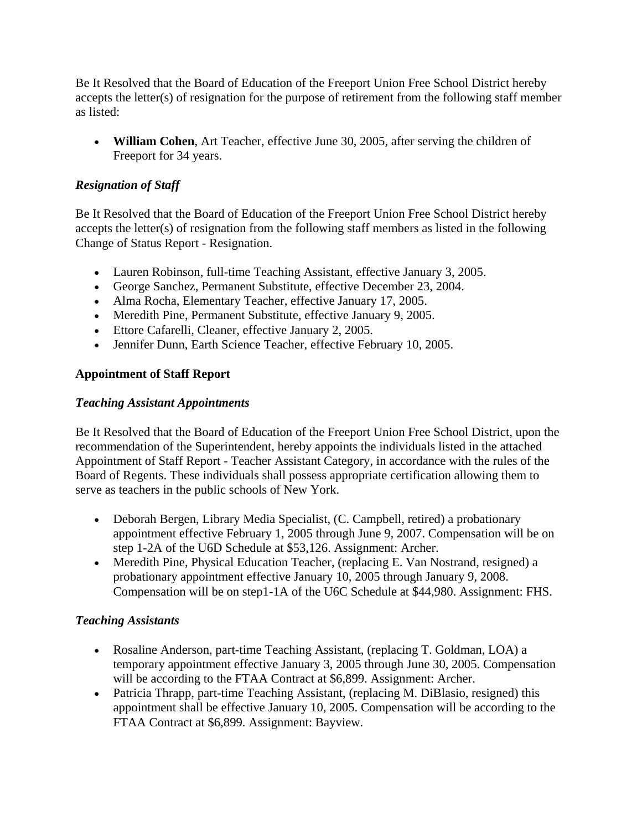Be It Resolved that the Board of Education of the Freeport Union Free School District hereby accepts the letter(s) of resignation for the purpose of retirement from the following staff member as listed:

• **William Cohen**, Art Teacher, effective June 30, 2005, after serving the children of Freeport for 34 years.

## *Resignation of Staff*

Be It Resolved that the Board of Education of the Freeport Union Free School District hereby accepts the letter(s) of resignation from the following staff members as listed in the following Change of Status Report - Resignation.

- Lauren Robinson, full-time Teaching Assistant, effective January 3, 2005.
- George Sanchez, Permanent Substitute, effective December 23, 2004.
- Alma Rocha, Elementary Teacher, effective January 17, 2005.
- Meredith Pine, Permanent Substitute, effective January 9, 2005.
- Ettore Cafarelli, Cleaner, effective January 2, 2005.
- Jennifer Dunn, Earth Science Teacher, effective February 10, 2005.

## **Appointment of Staff Report**

## *Teaching Assistant Appointments*

Be It Resolved that the Board of Education of the Freeport Union Free School District, upon the recommendation of the Superintendent, hereby appoints the individuals listed in the attached Appointment of Staff Report - Teacher Assistant Category, in accordance with the rules of the Board of Regents. These individuals shall possess appropriate certification allowing them to serve as teachers in the public schools of New York.

- Deborah Bergen, Library Media Specialist, (C. Campbell, retired) a probationary appointment effective February 1, 2005 through June 9, 2007. Compensation will be on step 1-2A of the U6D Schedule at \$53,126. Assignment: Archer.
- Meredith Pine, Physical Education Teacher, (replacing E. Van Nostrand, resigned) a probationary appointment effective January 10, 2005 through January 9, 2008. Compensation will be on step1-1A of the U6C Schedule at \$44,980. Assignment: FHS.

## *Teaching Assistants*

- Rosaline Anderson, part-time Teaching Assistant, (replacing T. Goldman, LOA) a temporary appointment effective January 3, 2005 through June 30, 2005. Compensation will be according to the FTAA Contract at \$6,899. Assignment: Archer.
- Patricia Thrapp, part-time Teaching Assistant, (replacing M. DiBlasio, resigned) this appointment shall be effective January 10, 2005. Compensation will be according to the FTAA Contract at \$6,899. Assignment: Bayview.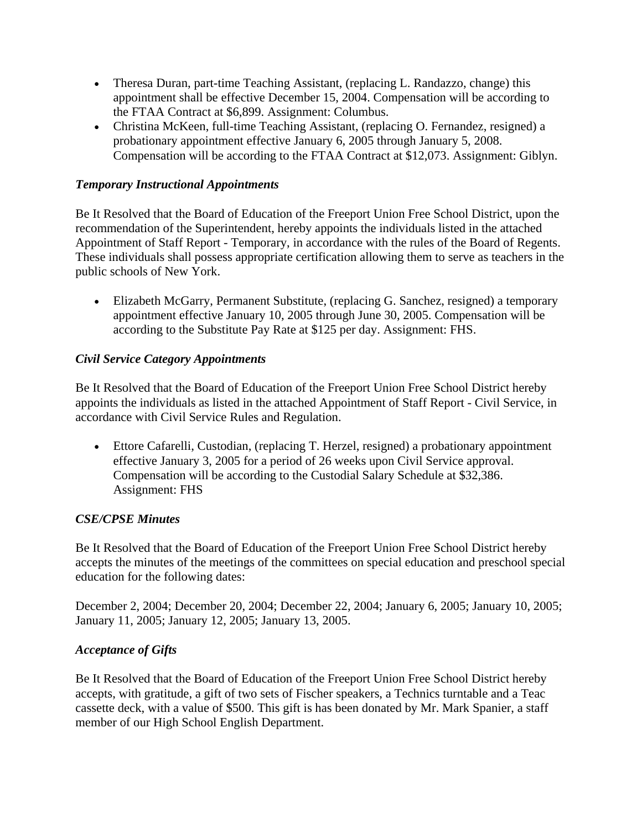- Theresa Duran, part-time Teaching Assistant, (replacing L. Randazzo, change) this appointment shall be effective December 15, 2004. Compensation will be according to the FTAA Contract at \$6,899. Assignment: Columbus.
- Christina McKeen, full-time Teaching Assistant, (replacing O. Fernandez, resigned) a probationary appointment effective January 6, 2005 through January 5, 2008. Compensation will be according to the FTAA Contract at \$12,073. Assignment: Giblyn.

## *Temporary Instructional Appointments*

Be It Resolved that the Board of Education of the Freeport Union Free School District, upon the recommendation of the Superintendent, hereby appoints the individuals listed in the attached Appointment of Staff Report - Temporary, in accordance with the rules of the Board of Regents. These individuals shall possess appropriate certification allowing them to serve as teachers in the public schools of New York.

• Elizabeth McGarry, Permanent Substitute, (replacing G. Sanchez, resigned) a temporary appointment effective January 10, 2005 through June 30, 2005. Compensation will be according to the Substitute Pay Rate at \$125 per day. Assignment: FHS.

## *Civil Service Category Appointments*

Be It Resolved that the Board of Education of the Freeport Union Free School District hereby appoints the individuals as listed in the attached Appointment of Staff Report - Civil Service, in accordance with Civil Service Rules and Regulation.

• Ettore Cafarelli, Custodian, (replacing T. Herzel, resigned) a probationary appointment effective January 3, 2005 for a period of 26 weeks upon Civil Service approval. Compensation will be according to the Custodial Salary Schedule at \$32,386. Assignment: FHS

## *CSE/CPSE Minutes*

Be It Resolved that the Board of Education of the Freeport Union Free School District hereby accepts the minutes of the meetings of the committees on special education and preschool special education for the following dates:

December 2, 2004; December 20, 2004; December 22, 2004; January 6, 2005; January 10, 2005; January 11, 2005; January 12, 2005; January 13, 2005.

## *Acceptance of Gifts*

Be It Resolved that the Board of Education of the Freeport Union Free School District hereby accepts, with gratitude, a gift of two sets of Fischer speakers, a Technics turntable and a Teac cassette deck, with a value of \$500. This gift is has been donated by Mr. Mark Spanier, a staff member of our High School English Department.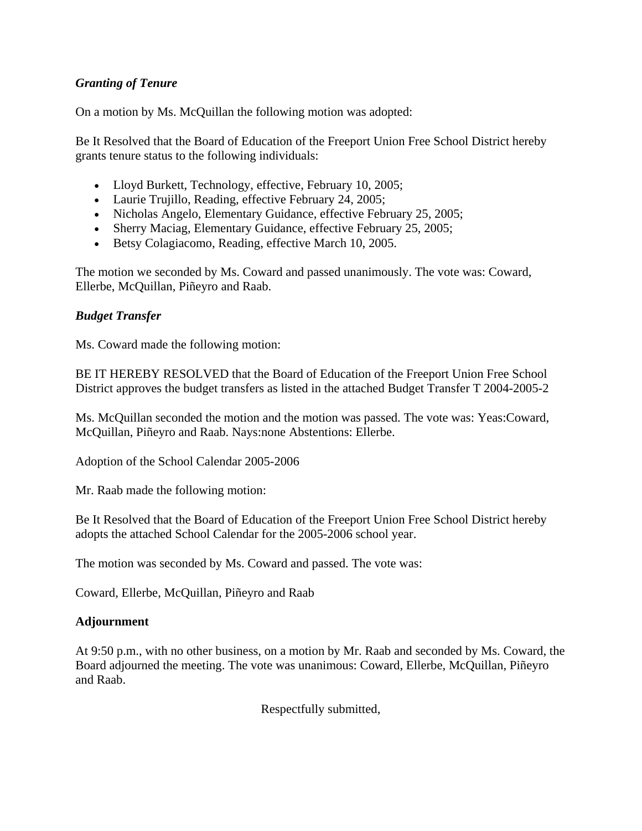## *Granting of Tenure*

On a motion by Ms. McQuillan the following motion was adopted:

Be It Resolved that the Board of Education of the Freeport Union Free School District hereby grants tenure status to the following individuals:

- Lloyd Burkett, Technology, effective, February 10, 2005;
- Laurie Trujillo, Reading, effective February 24, 2005;
- Nicholas Angelo, Elementary Guidance, effective February 25, 2005;
- Sherry Maciag, Elementary Guidance, effective February 25, 2005;
- Betsy Colagiacomo, Reading, effective March 10, 2005.

The motion we seconded by Ms. Coward and passed unanimously. The vote was: Coward, Ellerbe, McQuillan, Piñeyro and Raab.

#### *Budget Transfer*

Ms. Coward made the following motion:

BE IT HEREBY RESOLVED that the Board of Education of the Freeport Union Free School District approves the budget transfers as listed in the attached Budget Transfer T 2004-2005-2

Ms. McQuillan seconded the motion and the motion was passed. The vote was: Yeas:Coward, McQuillan, Piñeyro and Raab. Nays:none Abstentions: Ellerbe.

Adoption of the School Calendar 2005-2006

Mr. Raab made the following motion:

Be It Resolved that the Board of Education of the Freeport Union Free School District hereby adopts the attached School Calendar for the 2005-2006 school year.

The motion was seconded by Ms. Coward and passed. The vote was:

Coward, Ellerbe, McQuillan, Piñeyro and Raab

#### **Adjournment**

At 9:50 p.m., with no other business, on a motion by Mr. Raab and seconded by Ms. Coward, the Board adjourned the meeting. The vote was unanimous: Coward, Ellerbe, McQuillan, Piñeyro and Raab.

Respectfully submitted,